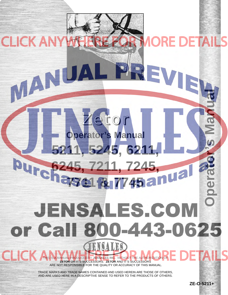

MANUA

PREVIE

TRADE MARKS AND TRADE NAMES CONTAINED AND USED HEREIN ARE THOSE OF OTHERS, AND ARE USED HERE IN A DESCRIPTIVE SENSE TO REFER TO THE PRODUCTS OF OTHERS.

**ZE-O-5211+**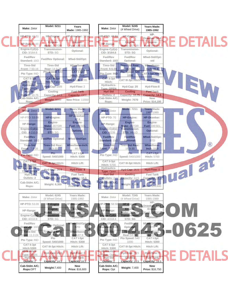|                                        | <b>Model: 5211</b>                        | Years                           |                                     | <b>Model: 5245</b>                    | Years Made:                          |               |                 |
|----------------------------------------|-------------------------------------------|---------------------------------|-------------------------------------|---------------------------------------|--------------------------------------|---------------|-----------------|
| Make: Zetor                            |                                           | Made: 1985-1992                 | Make: Zetor                         | (4 Wheel Drive)                       | 1985-1992                            |               |                 |
| HP-PTO: 42.51                          | HP-Engine:                                | HP-Drawbar: 38.4                | <b>HP-PTO: 42.51</b>                | HP-Engine:                            | HP-<br>Drawbar: 38.4                 |               |                 |
| HP-Range: 43                           | Engine-<br>Make: ZETOR                    | Engine-<br><b>Fuel: DIESEL</b>  | HP-Range:                           | Engine-<br>Make: ZETOR                | Engine-<br><b>Fuel: DIESEL</b>       |               | RE DETAILS      |
| Engine-Cyl(s)-<br>CID: 3/164.6         | Transmission-<br>STD: SG                  | Optional:                       | Engine-Cyl(s)-<br>CID: 3/164.6      | Transmission-<br>STD: SG              | Optional:                            |               |                 |
| Fwd/Rev<br>Standard: 10/2              | <b>Fwd/Rev Optional:</b>                  | Mfwd-Std/Opt:                   | Fwd/Rev<br>Standard: 10/2           | Fwd/Rev<br>Optional:                  | Mfwd-Std/Opt:<br>std                 |               |                 |
| <b>Tires-Std</b>                       | <b>Tires-Std</b>                          | Wheelbase-                      | <b>Tires-Std</b>                    | <b>Tires-Std Rear:</b>                | Wheelbase-                           |               |                 |
| Front: 7.50-16                         | Rear: 14.9-28<br>Pto Speed: 540           | Inch: 83.6<br>CAT I-3pt         | Front: 9.5-24                       | 16.9-28<br>Pto Speed: 540             | nch: 82.6                            |               |                 |
| Pto Type: IND                          | 1000                                      | Hitch: True                     | Pto Type: IND                       | 1000                                  | CAT I-3pt Hitch:                     |               |                 |
| CAT II-3pt<br>Hitch: True              | <b>CAT III-3pt</b><br><b>Hitch: False</b> | Hitch Lift: 3785                | CAT II-3pt<br>Hitch:                | <b>CAT III-3pt Hitch:</b>             | <b>Hitch Lift:</b>                   | TEW           |                 |
| <b>Hydraulics-</b><br>Type: OPEN       | Hyd-Cap: 20/8                             | Hyd-Flow: 2                     | Hydraulics-<br><b>Type: OPEN</b>    | Hyd-Cap: 20                           | Hyd-Flow:8                           |               |                 |
| <b>Hyd Std</b>                         | Cooling                                   | <b>Fuel Tank</b>                | <b>Hyd Std</b>                      | <b>Cooling</b>                        | <b>Fuel Tank</b>                     |               |                 |
| <b>Outlets: 10.75</b><br>Cab-Stdm A/C; | Capacity: 14.5                            | Capacity: OPT                   | Outlets: 2<br>Cab-Stdm A/C;         | Capacity: 10.75                       | Capacity: 14.5<br><b>New</b>         |               |                 |
| Rops:                                  | <b>Weight: 6000</b>                       | <b>New Price: 11550</b>         | Rops:                               | <b>Weight: 7070</b>                   | Price: \$14,180                      |               |                 |
| Make: Zetor                            | <b>Model: 6211</b>                        | Years Made:                     | <b>Make: Zetor</b>                  | <b>Model: 7211</b>                    | Years Made:                          |               |                 |
|                                        |                                           | 1986-1992<br>HP-Drawbar:        |                                     |                                       | 1985-1989                            |               |                 |
| HP-PTO: 53.09                          | HP-Engine:                                | 47.4                            | <b>HP-PTO: 70</b>                   | HP-Engine:                            | HP-Drawbar:                          |               |                 |
| HP-Range:                              | Engine-<br><b>Make: ZETOR</b>             | Engine-<br><b>Fuel: DIESEL</b>  | <b>HP-Range:</b>                    | Engine-<br><b>Make: ZETOR</b>         | Engine-<br>Fuel: DIESEL              |               |                 |
| Engine-Cyl(s)-<br>CID: 4-210.9         | Transmission-<br><b>STD: SG</b>           | Optional:                       | Engine-Cyl(s)-<br><b>CID: 4/239</b> | Transmission-<br>STD: HI-LO           | Optional:                            |               |                 |
| <b>Fwd/Rev</b>                         | <b>Fwd/Rev Optional:</b>                  | Mfwd-Std/Opt:                   | Fwd/Rev                             | Fwd/Rev                               | Mfwd-Std/Opt:                        |               |                 |
| Standard: 10/2<br><b>Tires-Std</b>     | Tires-Std Rear:                           | Wheelbase-Inch:                 | Standard: 10/2                      | Optional:<br><b>Tires-Std Rear:</b>   | <b>STD</b><br>Wheelbase-             |               | $^{\circledR}$  |
| Front: 7.5-16                          | $16.9 - 30$                               | 88.5                            | Tires-Std<br>Front: 7.50-16         | 16.9-30                               | <b>Inch: 88.9</b>                    |               |                 |
| Pto Type: IND                          | Pto.<br>Speed: 540/1000                   | CAT I-3pt<br><b>Hitch: 5300</b> | Pto Type: IND                       | Pr <sub>O</sub><br>Speed: 540/1000    | CAT I-3pt<br><b>Hitch: 5700</b>      | <b>ual at</b> |                 |
| CAT II-3pt<br>Hitch:5300               | <b>CAT III-3pt Hitch:</b>                 | Hitch Lift:                     | CAT II-3pt<br>Hitch: 5700           | CAT III-3pt Hitch:                    | Hitch Lift:                          |               |                 |
| Hydraulics-                            | Hyd-Cap: 26.5                             | Hyd-Flow: 8                     | Hydraulics-                         | <b>Hyd-Cap: 26.5</b>                  | Hyd-Flow: 8                          |               |                 |
| <b>Type: OPEN</b><br>Hyd Std           | Cooling                                   | <b>Fuel Tank</b>                | <b>Type: Open</b><br><b>Hyd Std</b> | Cooling                               | <b>Fuel Tank</b>                     |               |                 |
| Outlets: 2                             | Capacity: 14.5                            | Capacity: 18.5                  | Outlets: 2                          | Capacity: 14.5                        | Capacity: 18.5                       |               |                 |
| Cab-Stdm A/C;<br>Rops:                 | Weight: 6,350                             | <b>New</b><br>Price: \$13,750   | Cab-Stdm A/C;<br>Rops: op           | <b>Weight: 7,400</b>                  | <b>New</b><br><b>Price: \$16,600</b> |               |                 |
|                                        |                                           |                                 |                                     |                                       |                                      |               |                 |
| Make: Zetor                            | Model: 6245<br>(4 Wheel Drive)            | Years Made:<br>1985-1992        | Make: Zetor                         | <b>Model: 7245</b><br>(4 Wheel Drive) | Years Made:<br>1985-1989             |               |                 |
| HP-PTO: 53.09                          | HP-Engine∶                                | HP-Drawbar: 47.4                | HP-PTO: 58.58                       | HP-Engine:                            | HP-<br>Drawbar: 52.5                 |               |                 |
| HP-Range:                              | Engine-<br>ake: ZETOR                     | Engine-<br><b>Fuel: DIESEL</b>  | HP-Range:                           | Engine-<br>Make: ZETOR                | Engine-<br>Fuel: <b>DIESEL</b>       | OIM           |                 |
| Engine-Cyl(s)-<br>CID: 4/210.9         | Transmission-<br>STD: SG                  | Optional:                       | Engine-Cyl(s)<br>CID: 4/219.4       | Transmission-<br>STD: SG              | Optional:                            |               |                 |
| Fwd/Rev                                | <b>Fwd/Re</b> v Optional:                 | Mfwd-Std/Opte                   | Fwd/Rev                             | Fwd/Rev                               | Miwd-Std/Opt:                        |               |                 |
| Standard: 10/2                         |                                           | <b>STD</b>                      | Standard: 10/2                      | Optional:<br><b>Tires-Std</b>         | STD-<br>Wheelbase-                   | -0625         |                 |
| Tires-Std<br>ont: 11.2-24              | Tires-Std Rear:<br>$6.9 - 30$             | Mheelbase-<br>$l$ nch:87.8      | Tires-Std<br><b>Front: 11-24</b>    | Rear: 14-34                           | <b>Inch:87.8</b>                     |               |                 |
| Pto Type: IND                          | Pto<br>Speed: 540/1000                    | CAT I-3pt<br><b>Hitch: 5300</b> | Pto Type: IND                       | Pto Speed: 540<br>1000                | CAT I-3pt<br><b>Hitch: 5300</b>      |               |                 |
| CAT II-3pt<br><b>Hitch:5300</b>        | CAT III-3pt Hitch:                        | Hitch Lift:                     | CAT II-3pt<br><b>Hitch: 5300</b>    | CAT III-3pt Hitch:                    | Hitch Lift:                          |               |                 |
| Hydraulics-<br>Type: OREN              | Hyd-Cap: 26.5/                            | Hyd-Flow: 8                     | Hydraulics-<br>Type: Open           | Hyd-Cap: 26.5                         | Hyd-Flow: 8                          |               | <b>EDETAILS</b> |
| <b>Hyd Std</b><br><b>Outlets: 2</b>    | Cooling<br>Capacity: 14.5                 | Fuel Tank<br>Capacity: 18.5     | <b>Hyd Std</b><br>Outlets: 2        | <b>Cooling</b><br>Capacity: 14.5      | <b>Fuel Tank</b><br>Capacity: 18.5   |               |                 |
| Cab-Stdm A/C;                          |                                           | <b>New</b>                      | Cab-Stdm A/C;                       |                                       | <b>New</b>                           |               |                 |
| Rops:OPT                               | <b>Weight:7,400</b>                       | <b>Price: \$16,600</b>          | Rops: Opt                           | <b>Weight: 7,400</b>                  | <b>Price: \$16,750</b>               |               |                 |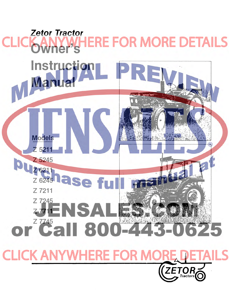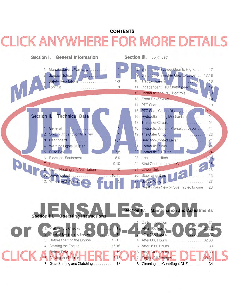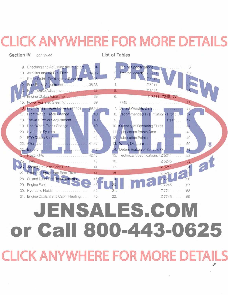## **CLICK ANYWH ERE FOR MORE DETAILS**

**Section IV.** continued

**List of Tables** 



## **JENSALES.CO** or Call 800-443-0625 **CLICK ANYWHERE FOR MORE DETAILS**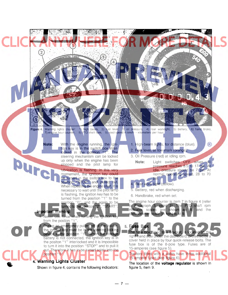

**Figure 4.** Warning lights cluster: 1) high beam, 2) fuel level, 3) oil pressure, 4) rear worklight, 5) battery, 6) hand brake, 7) engine hour counter, 8) PTO shaft rpm, 9) road speed in km/h - kilometers per hour.

 $-7-$ 

**Note:** With the engine running, the igni· tion key is in the switch box interlocked in the position "1". The steering mechanism can be locked pure up only when the engine has been stopped and the pilot lamp for

lubrication is flashing. In this very momement, the ignition key could be turned in the switch box to the position "STOP" and pulled out. When repeating the engine start, it is necessary to wait until the pilot lamp is flashing, the ignition key has to be turned from the position "1" to the position "0", and the again to be turned to the position "2", "START".

## **Important Warning:**

•

1. Never use force when turning the ignition ke from the postion "1"

2. During an emergency pulling off of the tractor, the ignition key must be in the steering locking device in the position "1". When the storage battery is not connected, the ignition key is in the positon "1" interlocked and it is impossible to turn it into the position "STOP" and to pull it out. Therefore it has to be turned solely into the position "0" **4. Warning Lights Cluster** 

Shown in figure 4, contains the following indicators:

- 1. High-beam lights, for distance (blue). 2. Fuel level, at low mark (orange).
- 3. Oil Pressure (red) at idling rpm.
	- **Note:** Light switches OFF when oil pressure reaches 8.5 to 17 psi. At idle, pressure should be 7 psi. At normal operating speed, 28 to 70

 $\circledR$ 

5. Battery, red when discharging.

psi. Rear work light (yellow).

6. Handbrake, red when set.

The engine hour counter is item 7 in figure 4 (refer to Paragraph 3, point 3). The PTO shaft rpm lindicator scales are shown as 8, and the speedometer scale (in kph) is at 9.

**5. Fuse Box**  The fuse box, fitted to a bracket, is located on the right-hand side under the dashboard, protected by a cover held in place by four quick-release bolts. The fuse box is of the 8-pole type. Fuses are of 15-amperes (see figure 5). Tractors fitted with a cabin have three additional

15·ampere fuses (see figure 6). The location of the **voltage regulator** is shown in figure 5, item 9.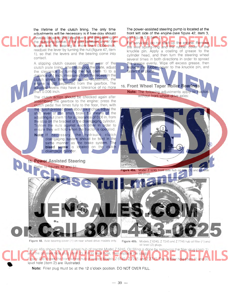The power-assisted steering pump is located at the the lifetime of the clutch lining. The only time front left side of the engine (see figure 42, item 3, adjustments will be necessary is if free-play should develop between the three levers and the bearing of and figure 51, item 1). the releasing sleeve. If the play between any of the For servicing, do not start up the engine. Remove levers and the bearing is more than 0.006 inch, the wire spring-ring and the rubber cover of the readjust the lever by turning the nut (figure 47, item knuckle pin. Apply a coating of grease to the 1), so that the levers and the bearing come into cylinder head, and then turn the steering wheel contact. several times in both directions in order to spread the grease evenly. Wipe off excess grease, then A slipping clutch causes abnormal wear of the clutch plate lining. After replacing the plate, adjust replace the rubber cover to the knuckle pin, and the clearance by turning the nut (item 1) to a fasten it in place. distance of 1 inch, measured from the recess in the clutch shield. When making this adjustment, the engine is still separated from the gearbox. The 16. **Front Wheel Taper Roller Bearings**  adjusted levers may have a tolerance of no more than 0.006 inch. Note: The following adjustments apply to tractors without front-wheel-drive axles: The clutch action should be checked again after assembling the gearbox to the engine: press the clutch pedal five times fully to the floor, then, with the clutch pressed down about six inches, adjust the shift lever of the small brake by means of the adjusting nut (item 1) for a clearance of 0.06 in. from the stop on the bracket of the disengaging cylinder. Tighten the nuts against each other in order to  $\mathbf{1}$ ensure they will hold when the tractor is operated. Note: If necessary, the hydraulic clutch disengaging system should be bled in the same manner as the brake system. The Æ bleed screw is located on the clutch disengage cylinder. 15. **Power Assisted Steering**  Refer to figures 42 and 51. Figure 48a. Model Z 5245 front axle hub oil filler (1) and oil level (2) plugs. Figure 48. Axle bearing cover (1) on rear wheel drive models only. Figure 48b. Models Z 6245, Z 7245 and Z 7745 hub oil filler (1) and oil level (2) plugs. Figure 48a shows the front wheel hub of tractor Model Z 5245. Oil filling is done by removing the filler plug (item 1 and the oil level hole plug (item 2). Fill to level hole, then replace the plugs.

> level hole (item 2) are illustrated. Note: Filler plug must be at the 12 o'clock position. DO NOT OVER FILL.

Figure 48b shows the front wheel hub of tractor Models Z 6245, Z 7245 and Z 7745. The oil filler hole (item 1) and